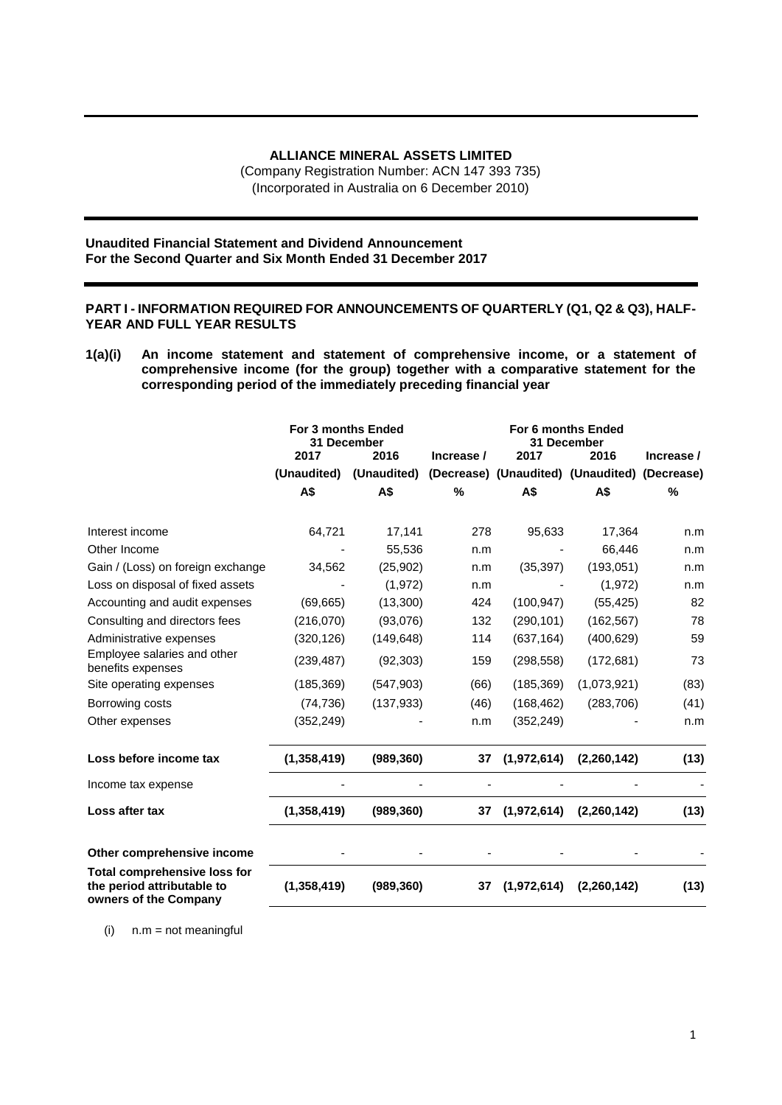## **ALLIANCE MINERAL ASSETS LIMITED**

(Company Registration Number: ACN 147 393 735) (Incorporated in Australia on 6 December 2010)

### **Unaudited Financial Statement and Dividend Announcement For the Second Quarter and Six Month Ended 31 December 2017**

## **PART I - INFORMATION REQUIRED FOR ANNOUNCEMENTS OF QUARTERLY (Q1, Q2 & Q3), HALF-YEAR AND FULL YEAR RESULTS**

**1(a)(i) An income statement and statement of comprehensive income, or a statement of comprehensive income (for the group) together with a comparative statement for the corresponding period of the immediately preceding financial year**

|                                                                                            | <b>For 3 months Ended</b><br>31 December |             | <b>For 6 months Ended</b><br>31 December |                                               |             |               |
|--------------------------------------------------------------------------------------------|------------------------------------------|-------------|------------------------------------------|-----------------------------------------------|-------------|---------------|
|                                                                                            | 2017                                     | 2016        | Increase /                               | 2017                                          | 2016        | Increase /    |
|                                                                                            | (Unaudited)                              | (Unaudited) |                                          | (Decrease) (Unaudited) (Unaudited) (Decrease) |             |               |
|                                                                                            | A\$                                      | A\$         | $\%$                                     | A\$                                           | A\$         | $\frac{0}{0}$ |
| Interest income                                                                            | 64,721                                   | 17,141      | 278                                      | 95,633                                        | 17,364      | n.m           |
| Other Income                                                                               |                                          | 55,536      | n.m                                      |                                               | 66,446      | n.m           |
| Gain / (Loss) on foreign exchange                                                          | 34,562                                   | (25, 902)   | n.m                                      | (35, 397)                                     | (193, 051)  | n.m           |
| Loss on disposal of fixed assets                                                           |                                          | (1, 972)    | n.m                                      |                                               | (1, 972)    | n.m           |
| Accounting and audit expenses                                                              | (69, 665)                                | (13,300)    | 424                                      | (100, 947)                                    | (55, 425)   | 82            |
| Consulting and directors fees                                                              | (216,070)                                | (93,076)    | 132                                      | (290, 101)                                    | (162, 567)  | 78            |
| Administrative expenses                                                                    | (320, 126)                               | (149, 648)  | 114                                      | (637, 164)                                    | (400, 629)  | 59            |
| Employee salaries and other<br>benefits expenses                                           | (239, 487)                               | (92, 303)   | 159                                      | (298, 558)                                    | (172, 681)  | 73            |
| Site operating expenses                                                                    | (185, 369)                               | (547, 903)  | (66)                                     | (185, 369)                                    | (1,073,921) | (83)          |
| Borrowing costs                                                                            | (74, 736)                                | (137, 933)  | (46)                                     | (168, 462)                                    | (283, 706)  | (41)          |
| Other expenses                                                                             | (352, 249)                               |             | n.m                                      | (352, 249)                                    |             | n.m           |
| Loss before income tax                                                                     | (1,358,419)                              | (989, 360)  | 37                                       | (1,972,614)                                   | (2,260,142) | (13)          |
| Income tax expense                                                                         |                                          |             |                                          |                                               |             |               |
| Loss after tax                                                                             | (1,358,419)                              | (989, 360)  | 37                                       | (1,972,614)                                   | (2,260,142) | (13)          |
| Other comprehensive income                                                                 |                                          |             |                                          |                                               |             |               |
| <b>Total comprehensive loss for</b><br>the period attributable to<br>owners of the Company | (1,358,419)                              | (989, 360)  | 37                                       | (1,972,614)                                   | (2,260,142) | (13)          |

(i) n.m = not meaningful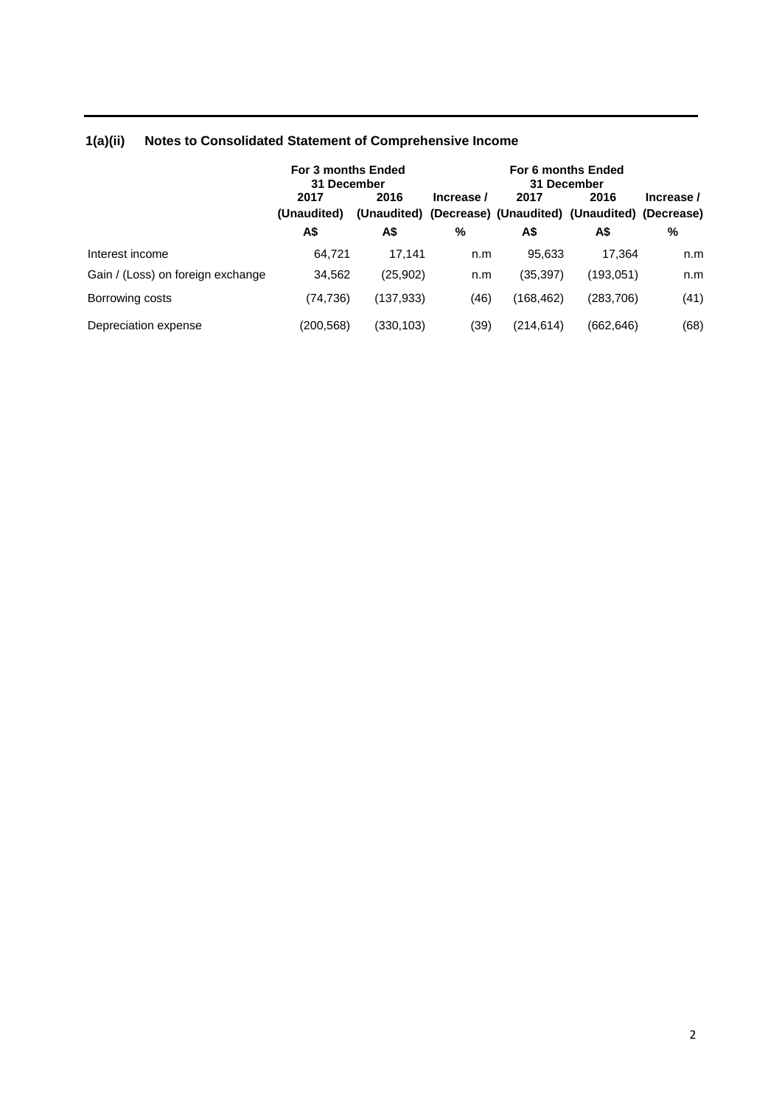|                                   | For 3 months Ended<br>31 December |           | For 6 months Ended<br>31 December |            |                                                                   |            |  |
|-----------------------------------|-----------------------------------|-----------|-----------------------------------|------------|-------------------------------------------------------------------|------------|--|
|                                   | 2017<br>(Unaudited)               | 2016      | Increase /                        | 2017       | 2016<br>(Unaudited) (Decrease) (Unaudited) (Unaudited) (Decrease) | Increase / |  |
|                                   | A\$                               | A\$       | %                                 | A\$        | A\$                                                               | %          |  |
| Interest income                   | 64,721                            | 17.141    | n.m                               | 95.633     | 17.364                                                            | n.m        |  |
| Gain / (Loss) on foreign exchange | 34,562                            | (25,902)  | n.m                               | (35,397)   | (193,051)                                                         | n.m        |  |
| Borrowing costs                   | (74, 736)                         | (137,933) | (46)                              | (168, 462) | (283, 706)                                                        | (41)       |  |
| Depreciation expense              | (200,568)                         | (330,103) | (39)                              | (214.614)  | (662, 646)                                                        | (68)       |  |

# **1(a)(ii) Notes to Consolidated Statement of Comprehensive Income**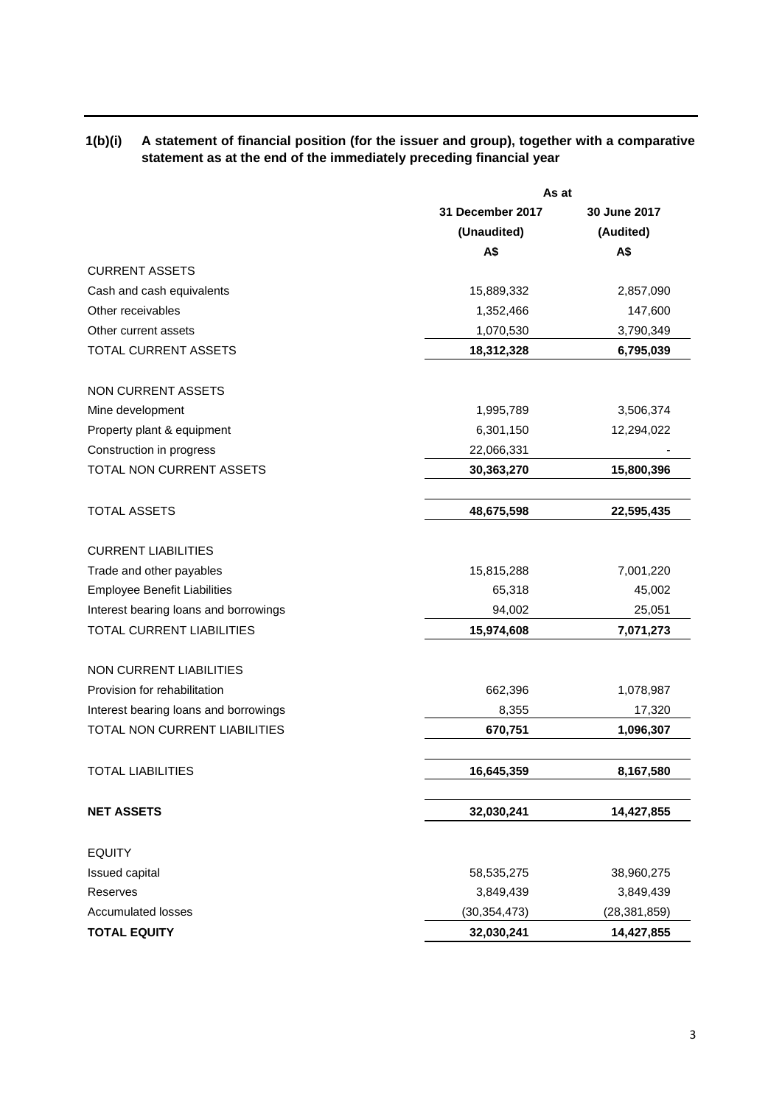## **1(b)(i) A statement of financial position (for the issuer and group), together with a comparative statement as at the end of the immediately preceding financial year**

|                                       | As at            |                |  |
|---------------------------------------|------------------|----------------|--|
|                                       | 31 December 2017 | 30 June 2017   |  |
|                                       | (Unaudited)      | (Audited)      |  |
|                                       | A\$              | A\$            |  |
| <b>CURRENT ASSETS</b>                 |                  |                |  |
| Cash and cash equivalents             | 15,889,332       | 2,857,090      |  |
| Other receivables                     | 1,352,466        | 147,600        |  |
| Other current assets                  | 1,070,530        | 3,790,349      |  |
| TOTAL CURRENT ASSETS                  | 18,312,328       | 6,795,039      |  |
| <b>NON CURRENT ASSETS</b>             |                  |                |  |
| Mine development                      | 1,995,789        | 3,506,374      |  |
| Property plant & equipment            | 6,301,150        | 12,294,022     |  |
| Construction in progress              | 22,066,331       |                |  |
| TOTAL NON CURRENT ASSETS              | 30,363,270       | 15,800,396     |  |
|                                       |                  |                |  |
| <b>TOTAL ASSETS</b>                   | 48,675,598       | 22,595,435     |  |
| <b>CURRENT LIABILITIES</b>            |                  |                |  |
| Trade and other payables              | 15,815,288       | 7,001,220      |  |
| <b>Employee Benefit Liabilities</b>   | 65,318           | 45,002         |  |
| Interest bearing loans and borrowings | 94,002           | 25,051         |  |
| TOTAL CURRENT LIABILITIES             | 15,974,608       | 7,071,273      |  |
| <b>NON CURRENT LIABILITIES</b>        |                  |                |  |
| Provision for rehabilitation          | 662,396          | 1,078,987      |  |
| Interest bearing loans and borrowings | 8,355            | 17,320         |  |
| TOTAL NON CURRENT LIABILITIES         | 670,751          | 1,096,307      |  |
| <b>TOTAL LIABILITIES</b>              | 16,645,359       | 8,167,580      |  |
|                                       |                  |                |  |
| <b>NET ASSETS</b>                     | 32,030,241       | 14,427,855     |  |
| <b>EQUITY</b>                         |                  |                |  |
| Issued capital                        | 58,535,275       | 38,960,275     |  |
| <b>Reserves</b>                       | 3,849,439        | 3,849,439      |  |
| <b>Accumulated losses</b>             | (30, 354, 473)   | (28, 381, 859) |  |
| <b>TOTAL EQUITY</b>                   | 32,030,241       | 14,427,855     |  |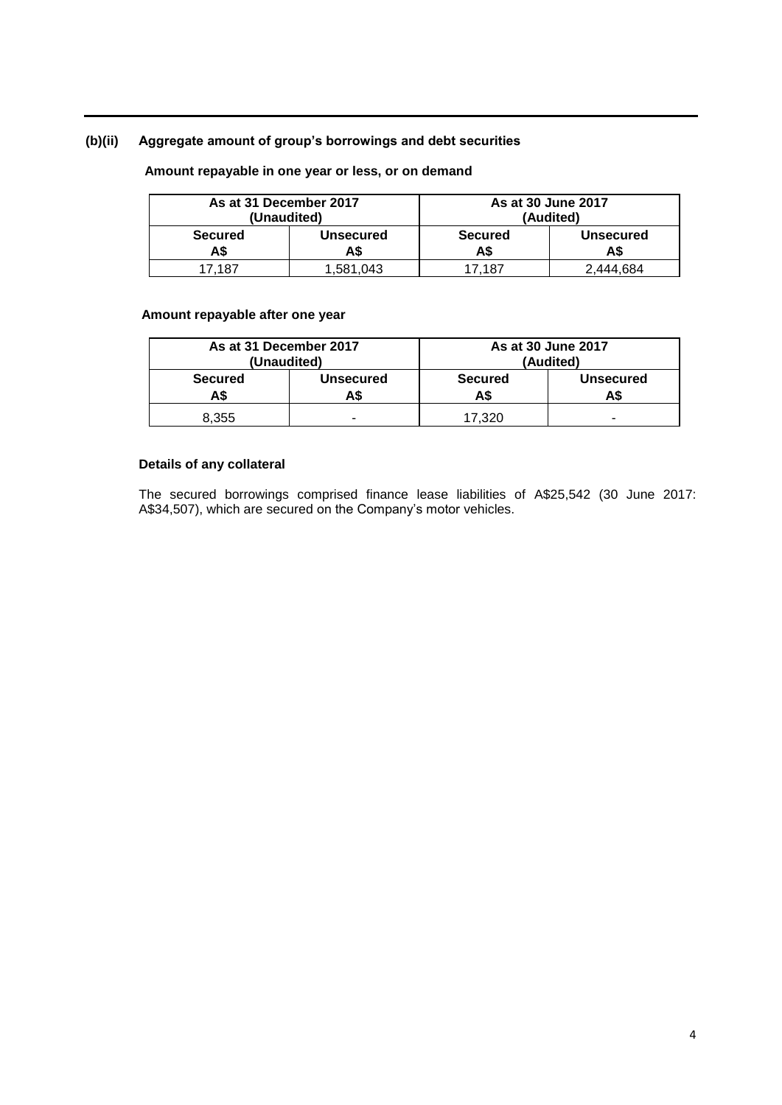## **(b)(ii) Aggregate amount of group's borrowings and debt securities**

## **Amount repayable in one year or less, or on demand**

| As at 31 December 2017<br>(Unaudited) |                         |                      | As at 30 June 2017<br>(Audited) |
|---------------------------------------|-------------------------|----------------------|---------------------------------|
| <b>Secured</b><br>A\$                 | <b>Unsecured</b><br>A\$ | <b>Secured</b><br>AS | <b>Unsecured</b><br>A\$         |
| 17.187                                | 1,581,043               | 17.187               | 2.444.684                       |

## **Amount repayable after one year**

| As at 31 December 2017<br>(Unaudited) |                 |                | As at 30 June 2017<br>(Audited) |
|---------------------------------------|-----------------|----------------|---------------------------------|
| <b>Secured</b><br>A\$                 | Unsecured<br>AS | <b>Secured</b> | <b>Unsecured</b>                |
| 8.355                                 | -               | 17.320         | -                               |

## **Details of any collateral**

The secured borrowings comprised finance lease liabilities of A\$25,542 (30 June 2017: A\$34,507), which are secured on the Company's motor vehicles.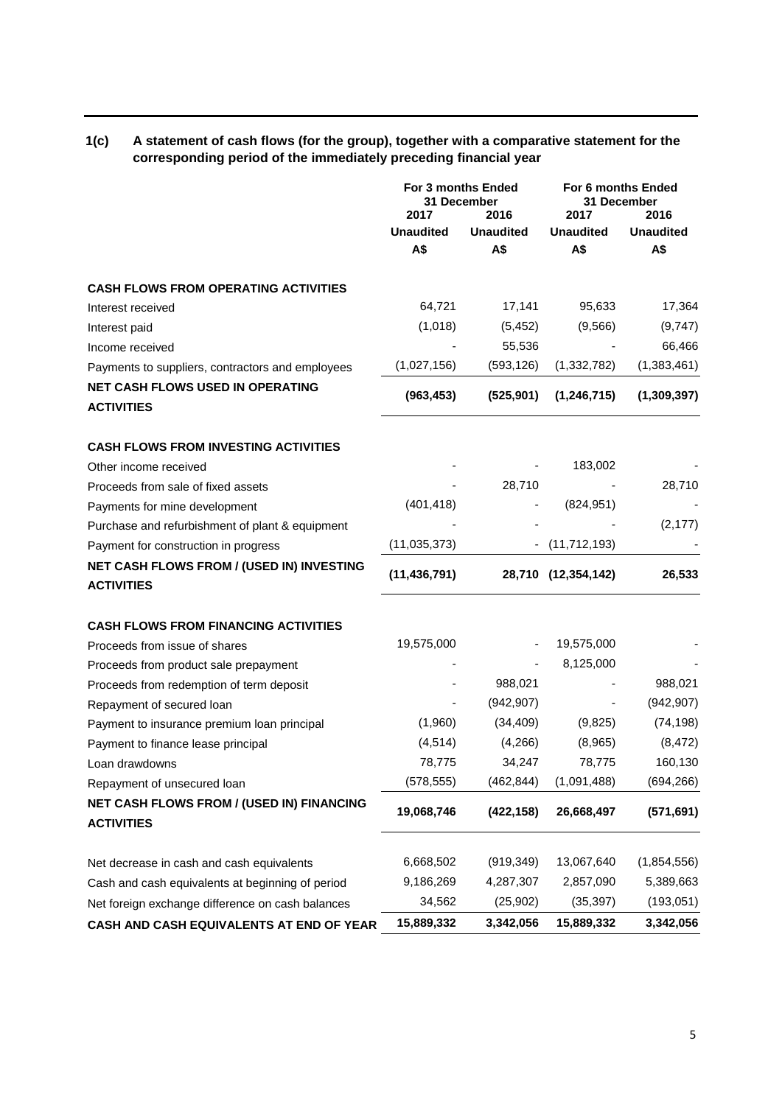## **1(c) A statement of cash flows (for the group), together with a comparative statement for the corresponding period of the immediately preceding financial year**

|                                                                | For 3 months Ended<br>31 December<br>2017<br>2016 |                  | For 6 months Ended<br>31 December<br>2017<br>2016 |                  |
|----------------------------------------------------------------|---------------------------------------------------|------------------|---------------------------------------------------|------------------|
|                                                                | <b>Unaudited</b>                                  | <b>Unaudited</b> | <b>Unaudited</b>                                  | <b>Unaudited</b> |
|                                                                | A\$                                               | A\$              | A\$                                               | A\$              |
| <b>CASH FLOWS FROM OPERATING ACTIVITIES</b>                    |                                                   |                  |                                                   |                  |
| Interest received                                              | 64,721                                            | 17,141           | 95,633                                            | 17,364           |
| Interest paid                                                  | (1,018)                                           | (5, 452)         | (9, 566)                                          | (9,747)          |
| Income received                                                |                                                   | 55,536           |                                                   | 66,466           |
| Payments to suppliers, contractors and employees               | (1,027,156)                                       | (593, 126)       | (1, 332, 782)                                     | (1,383,461)      |
| <b>NET CASH FLOWS USED IN OPERATING</b><br><b>ACTIVITIES</b>   | (963, 453)                                        | (525, 901)       | (1, 246, 715)                                     | (1,309,397)      |
| <b>CASH FLOWS FROM INVESTING ACTIVITIES</b>                    |                                                   |                  |                                                   |                  |
| Other income received                                          |                                                   |                  | 183,002                                           |                  |
| Proceeds from sale of fixed assets                             |                                                   | 28,710           |                                                   | 28,710           |
| Payments for mine development                                  | (401, 418)                                        |                  | (824, 951)                                        |                  |
| Purchase and refurbishment of plant & equipment                |                                                   |                  |                                                   | (2, 177)         |
| Payment for construction in progress                           | (11, 035, 373)                                    |                  | (11, 712, 193)                                    |                  |
| NET CASH FLOWS FROM / (USED IN) INVESTING<br><b>ACTIVITIES</b> | (11, 436, 791)                                    |                  | 28,710 (12,354,142)                               | 26,533           |
| <b>CASH FLOWS FROM FINANCING ACTIVITIES</b>                    |                                                   |                  |                                                   |                  |
| Proceeds from issue of shares                                  | 19,575,000                                        |                  | 19,575,000                                        |                  |
| Proceeds from product sale prepayment                          |                                                   |                  | 8,125,000                                         |                  |
| Proceeds from redemption of term deposit                       |                                                   | 988,021          |                                                   | 988,021          |
| Repayment of secured loan                                      |                                                   | (942, 907)       |                                                   | (942, 907)       |
| Payment to insurance premium loan principal                    | (1,960)                                           | (34, 409)        | (9,825)                                           | (74, 198)        |
| Payment to finance lease principal                             | (4, 514)                                          | (4,266)          | (8,965)                                           | (8, 472)         |
| Loan drawdowns                                                 | 78,775                                            | 34,247           | 78,775                                            | 160,130          |
| Repayment of unsecured loan                                    | (578, 555)                                        | (462, 844)       | (1,091,488)                                       | (694, 266)       |
| NET CASH FLOWS FROM / (USED IN) FINANCING<br><b>ACTIVITIES</b> | 19,068,746                                        | (422, 158)       | 26,668,497                                        | (571, 691)       |
| Net decrease in cash and cash equivalents                      | 6,668,502                                         | (919, 349)       | 13,067,640                                        | (1,854,556)      |
| Cash and cash equivalents at beginning of period               | 9,186,269                                         | 4,287,307        | 2,857,090                                         | 5,389,663        |
| Net foreign exchange difference on cash balances               | 34,562                                            | (25, 902)        | (35, 397)                                         | (193, 051)       |
| CASH AND CASH EQUIVALENTS AT END OF YEAR                       | 15,889,332                                        | 3,342,056        | 15,889,332                                        | 3,342,056        |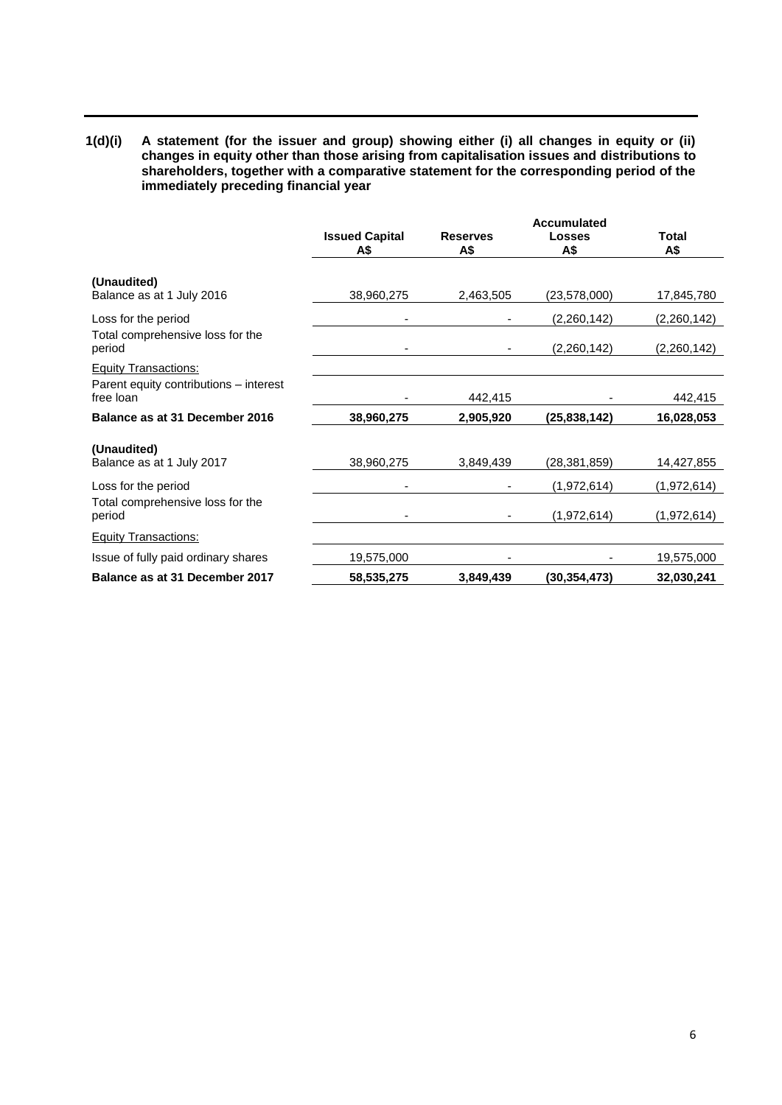**1(d)(i) A statement (for the issuer and group) showing either (i) all changes in equity or (ii) changes in equity other than those arising from capitalisation issues and distributions to shareholders, together with a comparative statement for the corresponding period of the immediately preceding financial year**

|                                                     | <b>Accumulated</b>           |                        |                      |                     |  |
|-----------------------------------------------------|------------------------------|------------------------|----------------------|---------------------|--|
|                                                     | <b>Issued Capital</b><br>A\$ | <b>Reserves</b><br>A\$ | <b>Losses</b><br>A\$ | <b>Total</b><br>A\$ |  |
| (Unaudited)                                         |                              |                        |                      |                     |  |
| Balance as at 1 July 2016                           | 38,960,275                   | 2,463,505              | (23, 578, 000)       | 17,845,780          |  |
| Loss for the period                                 |                              |                        | (2,260,142)          | (2,260,142)         |  |
| Total comprehensive loss for the<br>period          |                              |                        | (2,260,142)          | (2,260,142)         |  |
| <b>Equity Transactions:</b>                         |                              |                        |                      |                     |  |
| Parent equity contributions - interest<br>free loan |                              | 442,415                |                      | 442,415             |  |
| Balance as at 31 December 2016                      | 38,960,275                   | 2,905,920              | (25, 838, 142)       | 16,028,053          |  |
| (Unaudited)<br>Balance as at 1 July 2017            | 38,960,275                   | 3,849,439              | (28, 381, 859)       | 14,427,855          |  |
| Loss for the period                                 |                              |                        | (1,972,614)          | (1,972,614)         |  |
| Total comprehensive loss for the<br>period          |                              |                        | (1,972,614)          | (1,972,614)         |  |
| <b>Equity Transactions:</b>                         |                              |                        |                      |                     |  |
| Issue of fully paid ordinary shares                 | 19,575,000                   |                        |                      | 19,575,000          |  |
| Balance as at 31 December 2017                      | 58,535,275                   | 3,849,439              | (30, 354, 473)       | 32,030,241          |  |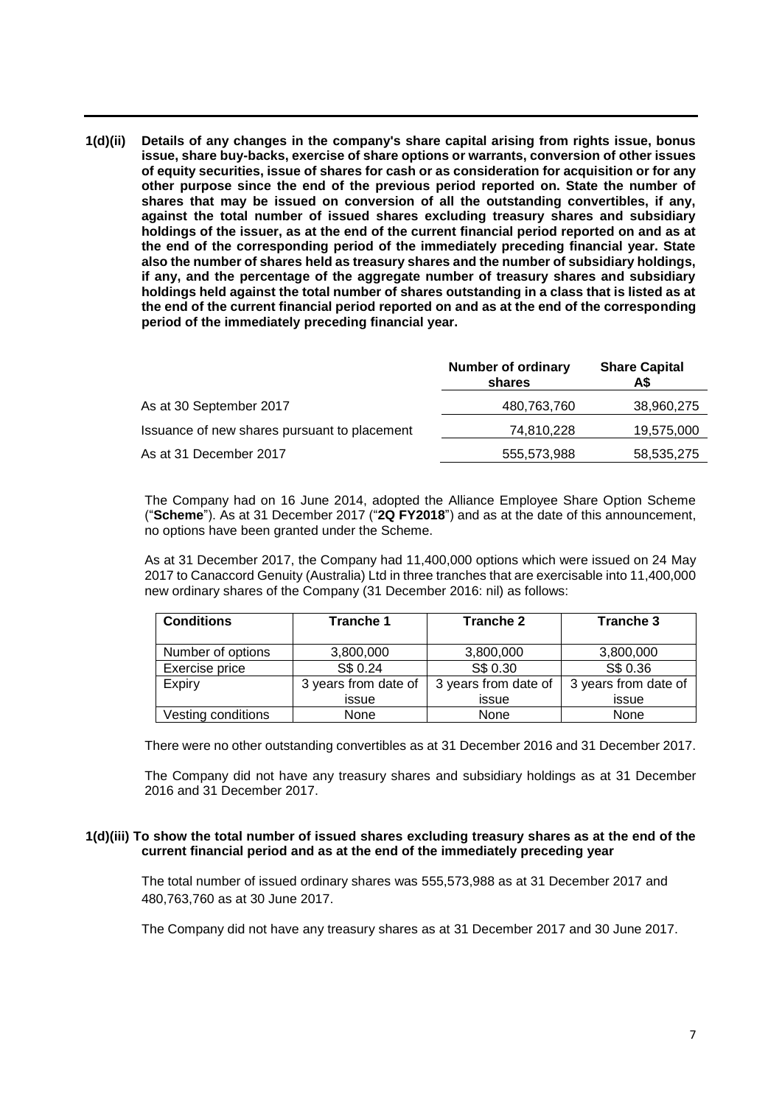**1(d)(ii) Details of any changes in the company's share capital arising from rights issue, bonus issue, share buy-backs, exercise of share options or warrants, conversion of other issues of equity securities, issue of shares for cash or as consideration for acquisition or for any other purpose since the end of the previous period reported on. State the number of shares that may be issued on conversion of all the outstanding convertibles, if any, against the total number of issued shares excluding treasury shares and subsidiary holdings of the issuer, as at the end of the current financial period reported on and as at the end of the corresponding period of the immediately preceding financial year. State also the number of shares held as treasury shares and the number of subsidiary holdings, if any, and the percentage of the aggregate number of treasury shares and subsidiary holdings held against the total number of shares outstanding in a class that is listed as at the end of the current financial period reported on and as at the end of the corresponding period of the immediately preceding financial year.**

|                                              | <b>Number of ordinary</b><br>shares | <b>Share Capital</b><br>A\$ |
|----------------------------------------------|-------------------------------------|-----------------------------|
| As at 30 September 2017                      | 480,763,760                         | 38,960,275                  |
| Issuance of new shares pursuant to placement | 74,810,228                          | 19,575,000                  |
| As at 31 December 2017                       | 555,573,988                         | 58,535,275                  |

The Company had on 16 June 2014, adopted the Alliance Employee Share Option Scheme ("**Scheme**"). As at 31 December 2017 ("**2Q FY2018**") and as at the date of this announcement, no options have been granted under the Scheme.

As at 31 December 2017, the Company had 11,400,000 options which were issued on 24 May 2017 to Canaccord Genuity (Australia) Ltd in three tranches that are exercisable into 11,400,000 new ordinary shares of the Company (31 December 2016: nil) as follows:

| <b>Conditions</b>  | Tranche 1            | Tranche 2            | Tranche 3            |
|--------------------|----------------------|----------------------|----------------------|
| Number of options  | 3,800,000            | 3,800,000            | 3,800,000            |
| Exercise price     | S\$ 0.24             | S\$ 0.30             | S\$ 0.36             |
| Expiry             | 3 years from date of | 3 years from date of | 3 years from date of |
|                    | issue                | issue                | issue                |
| Vesting conditions | None                 | None                 | None                 |

There were no other outstanding convertibles as at 31 December 2016 and 31 December 2017.

The Company did not have any treasury shares and subsidiary holdings as at 31 December 2016 and 31 December 2017.

#### **1(d)(iii) To show the total number of issued shares excluding treasury shares as at the end of the current financial period and as at the end of the immediately preceding year**

The total number of issued ordinary shares was 555,573,988 as at 31 December 2017 and 480,763,760 as at 30 June 2017.

The Company did not have any treasury shares as at 31 December 2017 and 30 June 2017.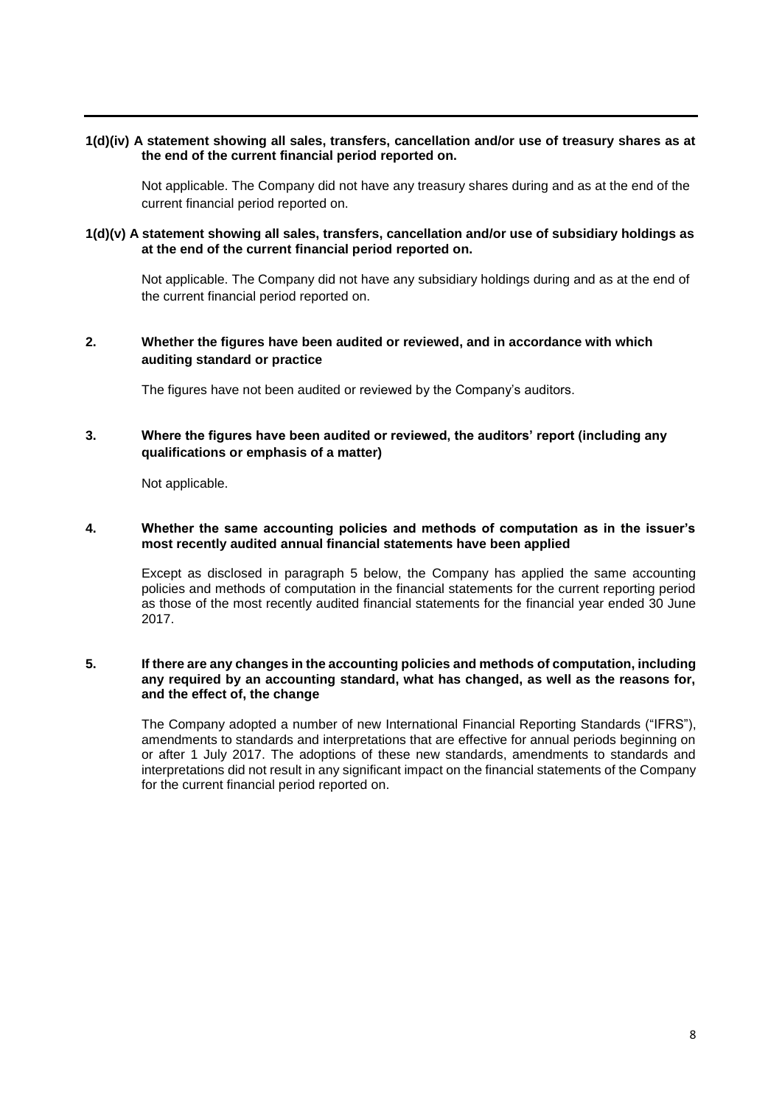### **1(d)(iv) A statement showing all sales, transfers, cancellation and/or use of treasury shares as at the end of the current financial period reported on.**

Not applicable. The Company did not have any treasury shares during and as at the end of the current financial period reported on.

### **1(d)(v) A statement showing all sales, transfers, cancellation and/or use of subsidiary holdings as at the end of the current financial period reported on.**

Not applicable. The Company did not have any subsidiary holdings during and as at the end of the current financial period reported on.

## **2. Whether the figures have been audited or reviewed, and in accordance with which auditing standard or practice**

The figures have not been audited or reviewed by the Company's auditors.

## **3. Where the figures have been audited or reviewed, the auditors' report (including any qualifications or emphasis of a matter)**

Not applicable.

### **4. Whether the same accounting policies and methods of computation as in the issuer's most recently audited annual financial statements have been applied**

Except as disclosed in paragraph 5 below, the Company has applied the same accounting policies and methods of computation in the financial statements for the current reporting period as those of the most recently audited financial statements for the financial year ended 30 June 2017.

#### **5. If there are any changes in the accounting policies and methods of computation, including any required by an accounting standard, what has changed, as well as the reasons for, and the effect of, the change**

The Company adopted a number of new International Financial Reporting Standards ("IFRS"), amendments to standards and interpretations that are effective for annual periods beginning on or after 1 July 2017. The adoptions of these new standards, amendments to standards and interpretations did not result in any significant impact on the financial statements of the Company for the current financial period reported on.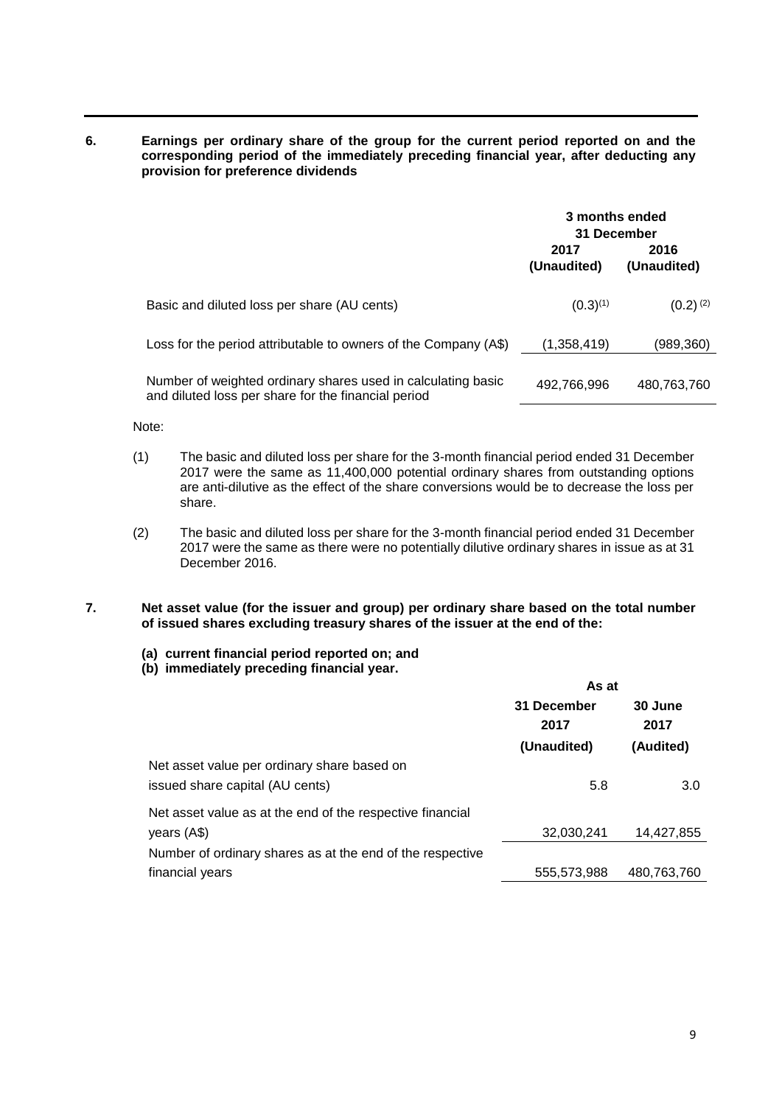**6. Earnings per ordinary share of the group for the current period reported on and the corresponding period of the immediately preceding financial year, after deducting any provision for preference dividends**

|                                                                                                                     | 3 months ended<br>31 December |                     |  |
|---------------------------------------------------------------------------------------------------------------------|-------------------------------|---------------------|--|
|                                                                                                                     | 2017<br>(Unaudited)           | 2016<br>(Unaudited) |  |
| Basic and diluted loss per share (AU cents)                                                                         | $(0.3)^{(1)}$                 | $(0.2)^{(2)}$       |  |
| Loss for the period attributable to owners of the Company (A\$)                                                     | (1,358,419)                   | (989,360)           |  |
| Number of weighted ordinary shares used in calculating basic<br>and diluted loss per share for the financial period | 492,766,996                   | 480,763,760         |  |

Note:

- (1) The basic and diluted loss per share for the 3-month financial period ended 31 December 2017 were the same as 11,400,000 potential ordinary shares from outstanding options are anti-dilutive as the effect of the share conversions would be to decrease the loss per share.
- (2) The basic and diluted loss per share for the 3-month financial period ended 31 December 2017 were the same as there were no potentially dilutive ordinary shares in issue as at 31 December 2016.
- **7. Net asset value (for the issuer and group) per ordinary share based on the total number of issued shares excluding treasury shares of the issuer at the end of the:**
	- **(a) current financial period reported on; and**
	- **(b) immediately preceding financial year.**

|                                                           | As at               |                 |  |
|-----------------------------------------------------------|---------------------|-----------------|--|
|                                                           | 31 December<br>2017 | 30 June<br>2017 |  |
|                                                           | (Unaudited)         | (Audited)       |  |
| Net asset value per ordinary share based on               |                     |                 |  |
| issued share capital (AU cents)                           | 5.8                 | 3.0             |  |
| Net asset value as at the end of the respective financial |                     |                 |  |
| years (A\$)                                               | 32,030,241          | 14,427,855      |  |
| Number of ordinary shares as at the end of the respective |                     |                 |  |
| financial years                                           | 555,573,988         | 480,763,760     |  |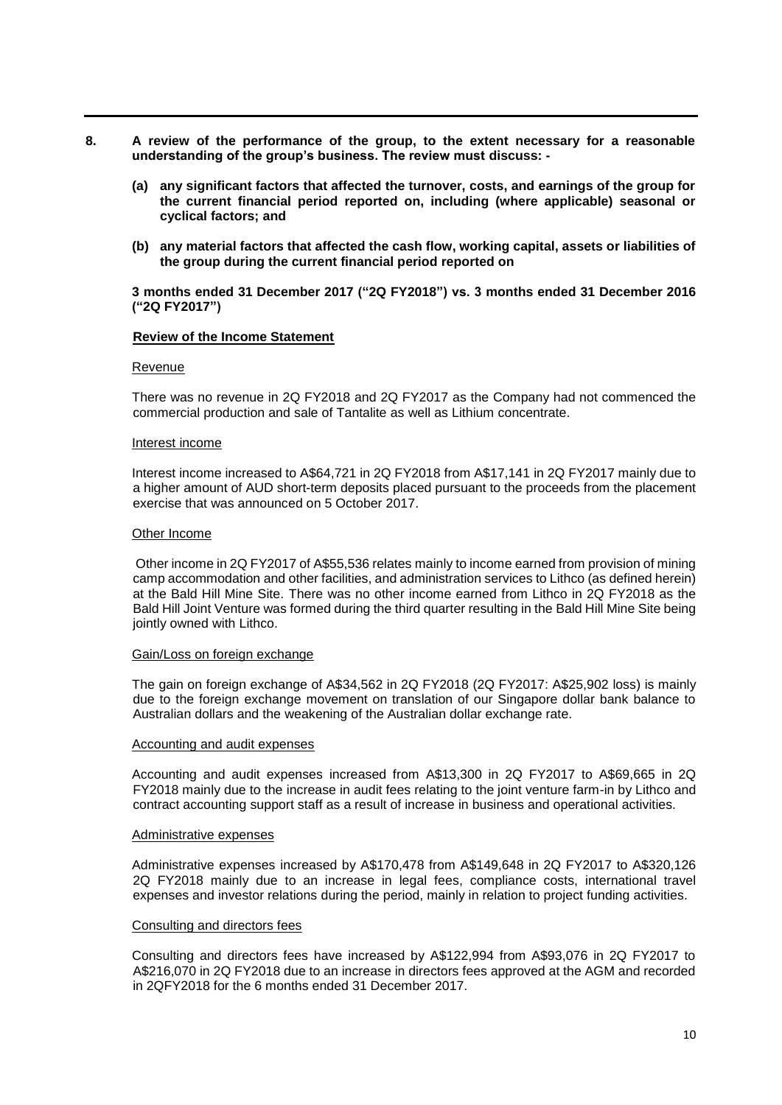- **8. A review of the performance of the group, to the extent necessary for a reasonable understanding of the group's business. The review must discuss: -**
	- **(a) any significant factors that affected the turnover, costs, and earnings of the group for the current financial period reported on, including (where applicable) seasonal or cyclical factors; and**
	- **(b) any material factors that affected the cash flow, working capital, assets or liabilities of the group during the current financial period reported on**

#### **3 months ended 31 December 2017 ("2Q FY2018") vs. 3 months ended 31 December 2016 ("2Q FY2017")**

#### **Review of the Income Statement**

#### Revenue

There was no revenue in 2Q FY2018 and 2Q FY2017 as the Company had not commenced the commercial production and sale of Tantalite as well as Lithium concentrate.

#### Interest income

Interest income increased to A\$64,721 in 2Q FY2018 from A\$17,141 in 2Q FY2017 mainly due to a higher amount of AUD short-term deposits placed pursuant to the proceeds from the placement exercise that was announced on 5 October 2017.

#### Other Income

Other income in 2Q FY2017 of A\$55,536 relates mainly to income earned from provision of mining camp accommodation and other facilities, and administration services to Lithco (as defined herein) at the Bald Hill Mine Site. There was no other income earned from Lithco in 2Q FY2018 as the Bald Hill Joint Venture was formed during the third quarter resulting in the Bald Hill Mine Site being jointly owned with Lithco.

#### Gain/Loss on foreign exchange

The gain on foreign exchange of A\$34,562 in 2Q FY2018 (2Q FY2017: A\$25,902 loss) is mainly due to the foreign exchange movement on translation of our Singapore dollar bank balance to Australian dollars and the weakening of the Australian dollar exchange rate.

#### Accounting and audit expenses

Accounting and audit expenses increased from A\$13,300 in 2Q FY2017 to A\$69,665 in 2Q FY2018 mainly due to the increase in audit fees relating to the joint venture farm-in by Lithco and contract accounting support staff as a result of increase in business and operational activities.

#### Administrative expenses

Administrative expenses increased by A\$170,478 from A\$149,648 in 2Q FY2017 to A\$320,126 2Q FY2018 mainly due to an increase in legal fees, compliance costs, international travel expenses and investor relations during the period, mainly in relation to project funding activities.

#### Consulting and directors fees

Consulting and directors fees have increased by A\$122,994 from A\$93,076 in 2Q FY2017 to A\$216,070 in 2Q FY2018 due to an increase in directors fees approved at the AGM and recorded in 2QFY2018 for the 6 months ended 31 December 2017.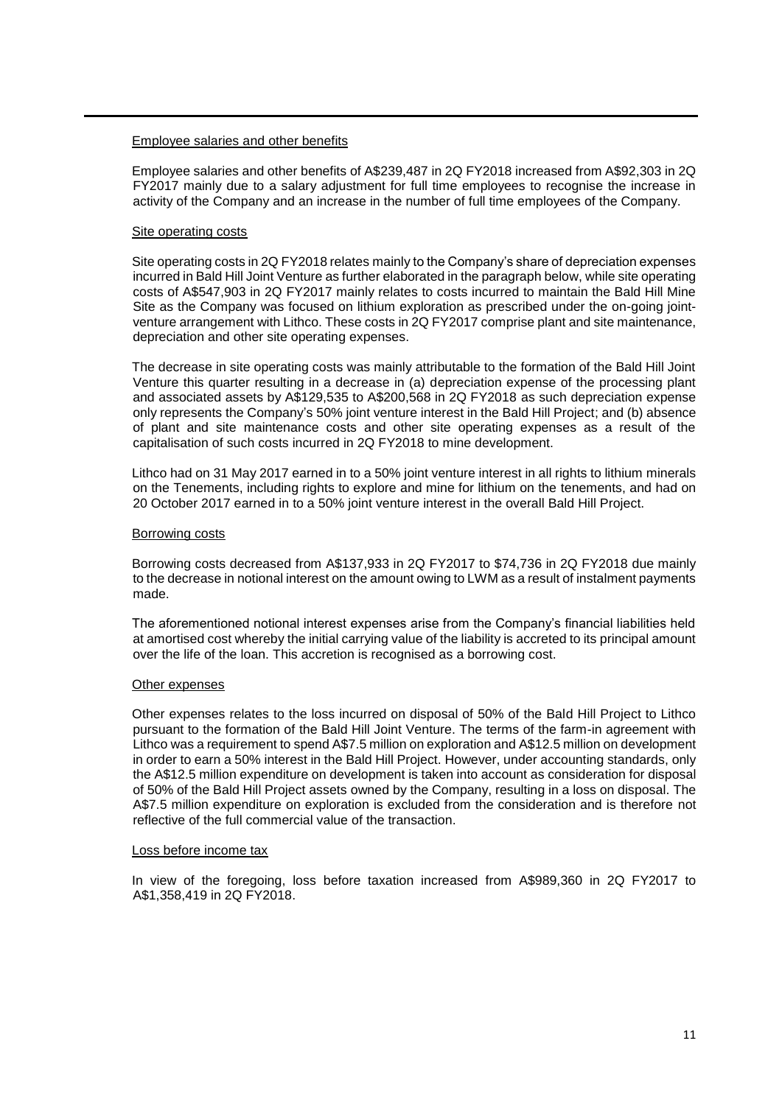#### Employee salaries and other benefits

Employee salaries and other benefits of A\$239,487 in 2Q FY2018 increased from A\$92,303 in 2Q FY2017 mainly due to a salary adjustment for full time employees to recognise the increase in activity of the Company and an increase in the number of full time employees of the Company.

#### Site operating costs

Site operating costs in 2Q FY2018 relates mainly to the Company's share of depreciation expenses incurred in Bald Hill Joint Venture as further elaborated in the paragraph below, while site operating costs of A\$547,903 in 2Q FY2017 mainly relates to costs incurred to maintain the Bald Hill Mine Site as the Company was focused on lithium exploration as prescribed under the on-going jointventure arrangement with Lithco. These costs in 2Q FY2017 comprise plant and site maintenance, depreciation and other site operating expenses.

The decrease in site operating costs was mainly attributable to the formation of the Bald Hill Joint Venture this quarter resulting in a decrease in (a) depreciation expense of the processing plant and associated assets by A\$129,535 to A\$200,568 in 2Q FY2018 as such depreciation expense only represents the Company's 50% joint venture interest in the Bald Hill Project; and (b) absence of plant and site maintenance costs and other site operating expenses as a result of the capitalisation of such costs incurred in 2Q FY2018 to mine development.

Lithco had on 31 May 2017 earned in to a 50% joint venture interest in all rights to lithium minerals on the Tenements, including rights to explore and mine for lithium on the tenements, and had on 20 October 2017 earned in to a 50% joint venture interest in the overall Bald Hill Project.

#### Borrowing costs

Borrowing costs decreased from A\$137,933 in 2Q FY2017 to \$74,736 in 2Q FY2018 due mainly to the decrease in notional interest on the amount owing to LWM as a result of instalment payments made.

The aforementioned notional interest expenses arise from the Company's financial liabilities held at amortised cost whereby the initial carrying value of the liability is accreted to its principal amount over the life of the loan. This accretion is recognised as a borrowing cost.

#### Other expenses

Other expenses relates to the loss incurred on disposal of 50% of the Bald Hill Project to Lithco pursuant to the formation of the Bald Hill Joint Venture. The terms of the farm-in agreement with Lithco was a requirement to spend A\$7.5 million on exploration and A\$12.5 million on development in order to earn a 50% interest in the Bald Hill Project. However, under accounting standards, only the A\$12.5 million expenditure on development is taken into account as consideration for disposal of 50% of the Bald Hill Project assets owned by the Company, resulting in a loss on disposal. The A\$7.5 million expenditure on exploration is excluded from the consideration and is therefore not reflective of the full commercial value of the transaction.

#### Loss before income tax

In view of the foregoing, loss before taxation increased from A\$989,360 in 2Q FY2017 to A\$1,358,419 in 2Q FY2018.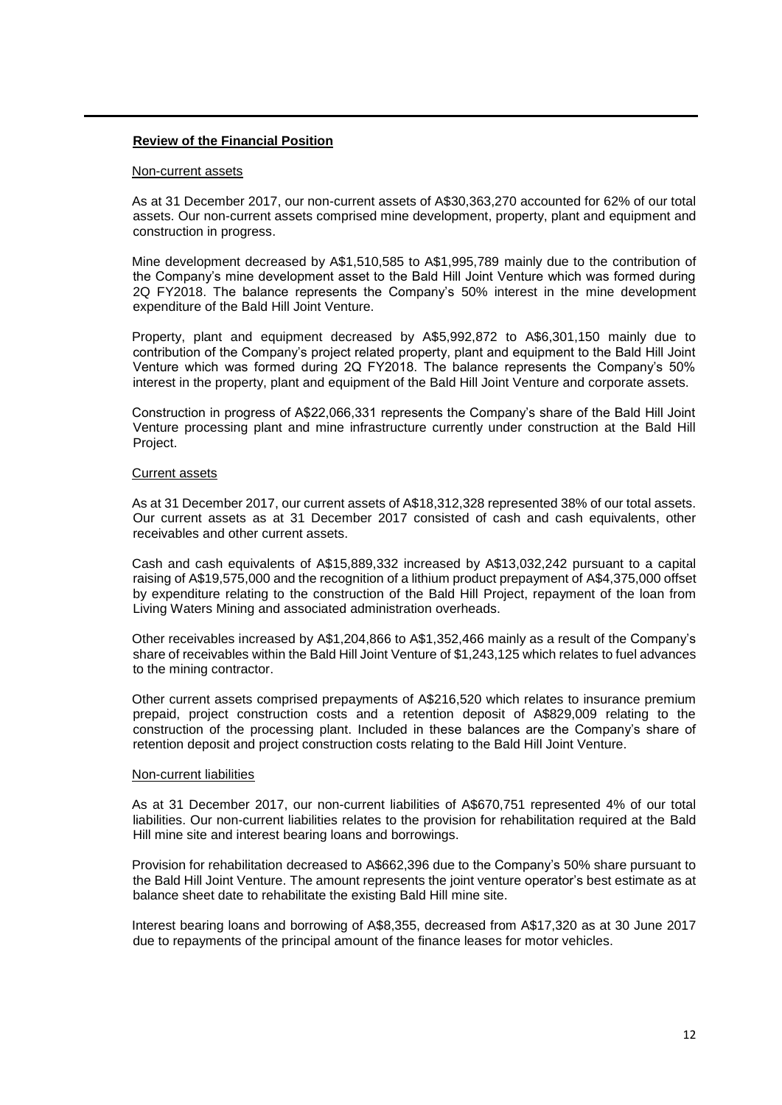#### **Review of the Financial Position**

#### Non-current assets

As at 31 December 2017, our non-current assets of A\$30,363,270 accounted for 62% of our total assets. Our non-current assets comprised mine development, property, plant and equipment and construction in progress.

Mine development decreased by A\$1,510,585 to A\$1,995,789 mainly due to the contribution of the Company's mine development asset to the Bald Hill Joint Venture which was formed during 2Q FY2018. The balance represents the Company's 50% interest in the mine development expenditure of the Bald Hill Joint Venture.

Property, plant and equipment decreased by A\$5,992,872 to A\$6,301,150 mainly due to contribution of the Company's project related property, plant and equipment to the Bald Hill Joint Venture which was formed during 2Q FY2018. The balance represents the Company's 50% interest in the property, plant and equipment of the Bald Hill Joint Venture and corporate assets.

Construction in progress of A\$22,066,331 represents the Company's share of the Bald Hill Joint Venture processing plant and mine infrastructure currently under construction at the Bald Hill Project.

### Current assets

As at 31 December 2017, our current assets of A\$18,312,328 represented 38% of our total assets. Our current assets as at 31 December 2017 consisted of cash and cash equivalents, other receivables and other current assets.

Cash and cash equivalents of A\$15,889,332 increased by A\$13,032,242 pursuant to a capital raising of A\$19,575,000 and the recognition of a lithium product prepayment of A\$4,375,000 offset by expenditure relating to the construction of the Bald Hill Project, repayment of the loan from Living Waters Mining and associated administration overheads.

Other receivables increased by A\$1,204,866 to A\$1,352,466 mainly as a result of the Company's share of receivables within the Bald Hill Joint Venture of \$1,243,125 which relates to fuel advances to the mining contractor.

Other current assets comprised prepayments of A\$216,520 which relates to insurance premium prepaid, project construction costs and a retention deposit of A\$829,009 relating to the construction of the processing plant. Included in these balances are the Company's share of retention deposit and project construction costs relating to the Bald Hill Joint Venture.

#### Non-current liabilities

As at 31 December 2017, our non-current liabilities of A\$670,751 represented 4% of our total liabilities. Our non-current liabilities relates to the provision for rehabilitation required at the Bald Hill mine site and interest bearing loans and borrowings.

Provision for rehabilitation decreased to A\$662,396 due to the Company's 50% share pursuant to the Bald Hill Joint Venture. The amount represents the joint venture operator's best estimate as at balance sheet date to rehabilitate the existing Bald Hill mine site.

Interest bearing loans and borrowing of A\$8,355, decreased from A\$17,320 as at 30 June 2017 due to repayments of the principal amount of the finance leases for motor vehicles.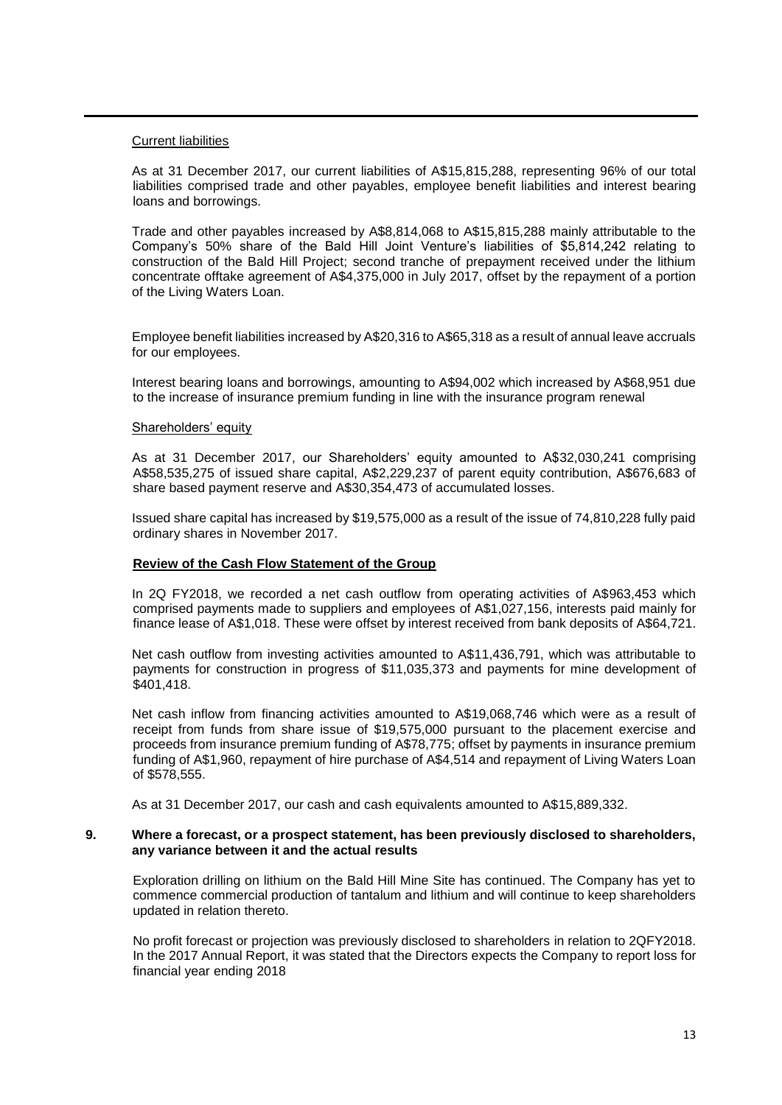#### Current liabilities

As at 31 December 2017, our current liabilities of A\$15,815,288, representing 96% of our total liabilities comprised trade and other payables, employee benefit liabilities and interest bearing loans and borrowings.

Trade and other payables increased by A\$8,814,068 to A\$15,815,288 mainly attributable to the Company's 50% share of the Bald Hill Joint Venture's liabilities of \$5,814,242 relating to construction of the Bald Hill Project; second tranche of prepayment received under the lithium concentrate offtake agreement of A\$4,375,000 in July 2017, offset by the repayment of a portion of the Living Waters Loan.

Employee benefit liabilities increased by A\$20,316 to A\$65,318 as a result of annual leave accruals for our employees.

Interest bearing loans and borrowings, amounting to A\$94,002 which increased by A\$68,951 due to the increase of insurance premium funding in line with the insurance program renewal

#### Shareholders' equity

As at 31 December 2017, our Shareholders' equity amounted to A\$32,030,241 comprising A\$58,535,275 of issued share capital, A\$2,229,237 of parent equity contribution, A\$676,683 of share based payment reserve and A\$30,354,473 of accumulated losses.

Issued share capital has increased by \$19,575,000 as a result of the issue of 74,810,228 fully paid ordinary shares in November 2017.

#### **Review of the Cash Flow Statement of the Group**

In 2Q FY2018, we recorded a net cash outflow from operating activities of A\$963,453 which comprised payments made to suppliers and employees of A\$1,027,156, interests paid mainly for finance lease of A\$1,018. These were offset by interest received from bank deposits of A\$64,721.

Net cash outflow from investing activities amounted to A\$11,436,791, which was attributable to payments for construction in progress of \$11,035,373 and payments for mine development of \$401,418.

Net cash inflow from financing activities amounted to A\$19,068,746 which were as a result of receipt from funds from share issue of \$19,575,000 pursuant to the placement exercise and proceeds from insurance premium funding of A\$78,775; offset by payments in insurance premium funding of A\$1,960, repayment of hire purchase of A\$4,514 and repayment of Living Waters Loan of \$578,555.

As at 31 December 2017, our cash and cash equivalents amounted to A\$15,889,332.

#### **9. Where a forecast, or a prospect statement, has been previously disclosed to shareholders, any variance between it and the actual results**

Exploration drilling on lithium on the Bald Hill Mine Site has continued. The Company has yet to commence commercial production of tantalum and lithium and will continue to keep shareholders updated in relation thereto.

No profit forecast or projection was previously disclosed to shareholders in relation to 2QFY2018. In the 2017 Annual Report, it was stated that the Directors expects the Company to report loss for financial year ending 2018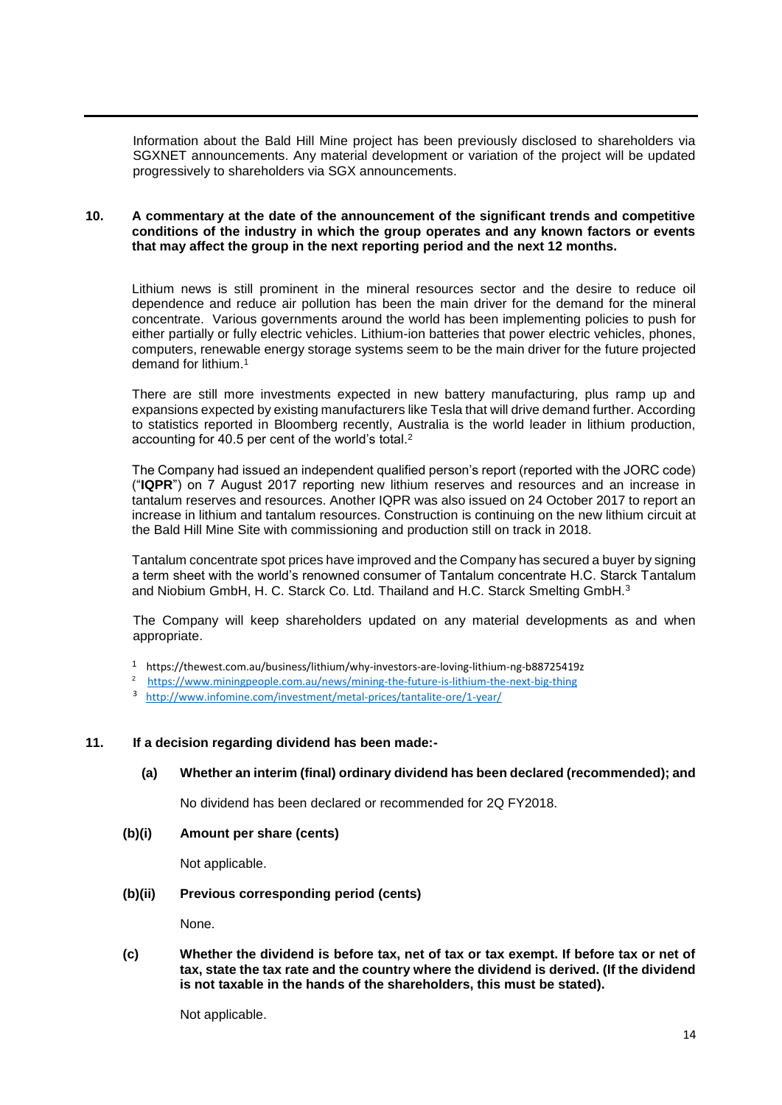Information about the Bald Hill Mine project has been previously disclosed to shareholders via SGXNET announcements. Any material development or variation of the project will be updated progressively to shareholders via SGX announcements.

### **10. A commentary at the date of the announcement of the significant trends and competitive conditions of the industry in which the group operates and any known factors or events that may affect the group in the next reporting period and the next 12 months.**

Lithium news is still prominent in the mineral resources sector and the desire to reduce oil dependence and reduce air pollution has been the main driver for the demand for the mineral concentrate. Various governments around the world has been implementing policies to push for either partially or fully electric vehicles. Lithium-ion batteries that power electric vehicles, phones, computers, renewable energy storage systems seem to be the main driver for the future projected demand for lithium.<sup>1</sup>

There are still more investments expected in new battery manufacturing, plus ramp up and expansions expected by existing manufacturers like Tesla that will drive demand further. According to statistics reported in Bloomberg recently, Australia is the world leader in lithium production, accounting for 40.5 per cent of the world's total.<sup>2</sup>

The Company had issued an independent qualified person's report (reported with the JORC code) ("**IQPR**") on 7 August 2017 reporting new lithium reserves and resources and an increase in tantalum reserves and resources. Another IQPR was also issued on 24 October 2017 to report an increase in lithium and tantalum resources. Construction is continuing on the new lithium circuit at the Bald Hill Mine Site with commissioning and production still on track in 2018.

Tantalum concentrate spot prices have improved and the Company has secured a buyer by signing a term sheet with the world's renowned consumer of Tantalum concentrate H.C. Starck Tantalum and Niobium GmbH, H. C. Starck Co. Ltd. Thailand and H.C. Starck Smelting GmbH.<sup>3</sup>

The Company will keep shareholders updated on any material developments as and when appropriate.

- 1 https://thewest.com.au/business/lithium/why-investors-are-loving-lithium-ng-b88725419z
- 2 <https://www.miningpeople.com.au/news/mining-the-future-is-lithium-the-next-big-thing>
- 3 <http://www.infomine.com/investment/metal-prices/tantalite-ore/1-year/>

### **11. If a decision regarding dividend has been made:-**

## **(a) Whether an interim (final) ordinary dividend has been declared (recommended); and**

No dividend has been declared or recommended for 2Q FY2018.

**(b)(i) Amount per share (cents)**

Not applicable.

#### **(b)(ii) Previous corresponding period (cents)**

None.

**(c) Whether the dividend is before tax, net of tax or tax exempt. If before tax or net of tax, state the tax rate and the country where the dividend is derived. (If the dividend is not taxable in the hands of the shareholders, this must be stated).**

Not applicable.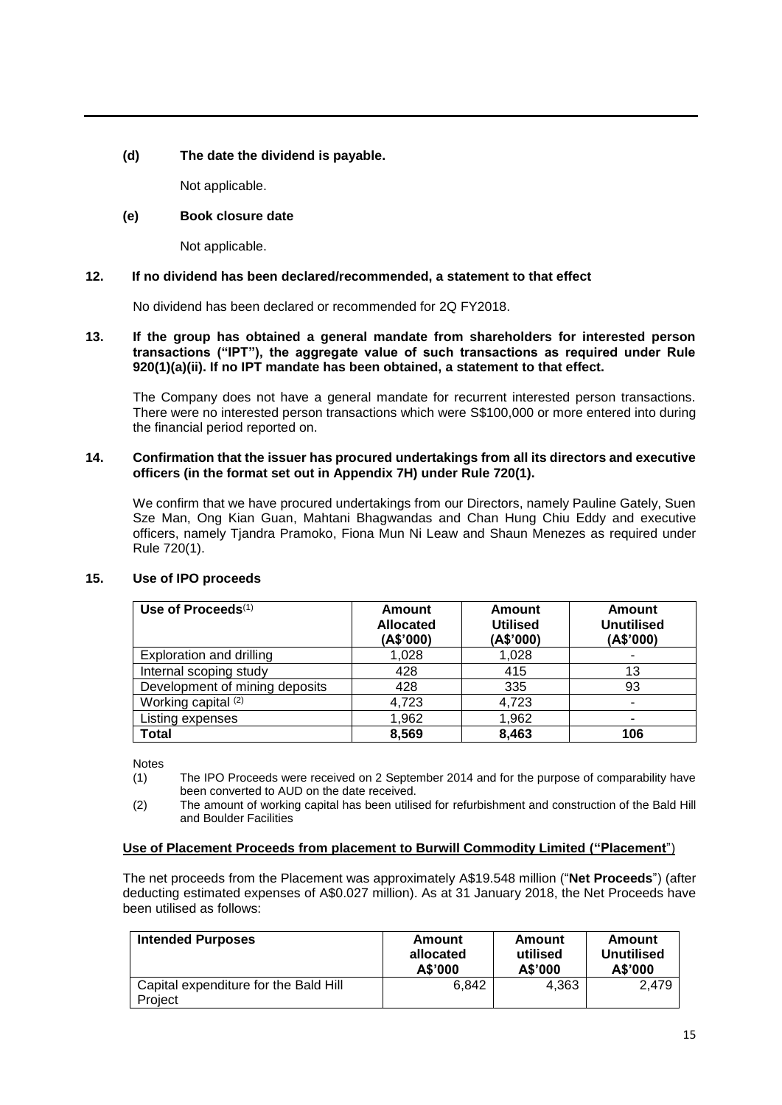## **(d) The date the dividend is payable.**

Not applicable.

## **(e) Book closure date**

Not applicable.

## **12. If no dividend has been declared/recommended, a statement to that effect**

No dividend has been declared or recommended for 2Q FY2018.

### **13. If the group has obtained a general mandate from shareholders for interested person transactions ("IPT"), the aggregate value of such transactions as required under Rule 920(1)(a)(ii). If no IPT mandate has been obtained, a statement to that effect.**

The Company does not have a general mandate for recurrent interested person transactions. There were no interested person transactions which were S\$100,000 or more entered into during the financial period reported on.

#### **14. Confirmation that the issuer has procured undertakings from all its directors and executive officers (in the format set out in Appendix 7H) under Rule 720(1).**

We confirm that we have procured undertakings from our Directors, namely Pauline Gately, Suen Sze Man, Ong Kian Guan, Mahtani Bhagwandas and Chan Hung Chiu Eddy and executive officers, namely Tjandra Pramoko, Fiona Mun Ni Leaw and Shaun Menezes as required under Rule 720(1).

| Use of Proceeds $(1)$          | Amount<br><b>Allocated</b><br>(A\$'000) | Amount<br><b>Utilised</b><br>(A\$'000) | Amount<br><b>Unutilised</b><br>(A\$'000) |
|--------------------------------|-----------------------------------------|----------------------------------------|------------------------------------------|
| Exploration and drilling       | 1,028                                   | 1,028                                  | ٠                                        |
| Internal scoping study         | 428                                     | 415                                    | 13                                       |
| Development of mining deposits | 428                                     | 335                                    | 93                                       |
| Working capital (2)            | 4,723                                   | 4,723                                  | $\blacksquare$                           |
| Listing expenses               | 1,962                                   | 1,962                                  |                                          |
| <b>Total</b>                   | 8,569                                   | 8,463                                  | 106                                      |

## **15. Use of IPO proceeds**

**Notes** 

- (1) The IPO Proceeds were received on 2 September 2014 and for the purpose of comparability have been converted to AUD on the date received.
- (2) The amount of working capital has been utilised for refurbishment and construction of the Bald Hill and Boulder Facilities

## **Use of Placement Proceeds from placement to Burwill Commodity Limited ("Placement**")

The net proceeds from the Placement was approximately A\$19.548 million ("**Net Proceeds**") (after deducting estimated expenses of A\$0.027 million). As at 31 January 2018, the Net Proceeds have been utilised as follows:

| <b>Intended Purposes</b>                         | Amount    | Amount   | Amount     |
|--------------------------------------------------|-----------|----------|------------|
|                                                  | allocated | utilised | Unutilised |
|                                                  | A\$'000   | A\$'000  | A\$'000    |
| Capital expenditure for the Bald Hill<br>Project | 6.842     | 4.363    | 2.479      |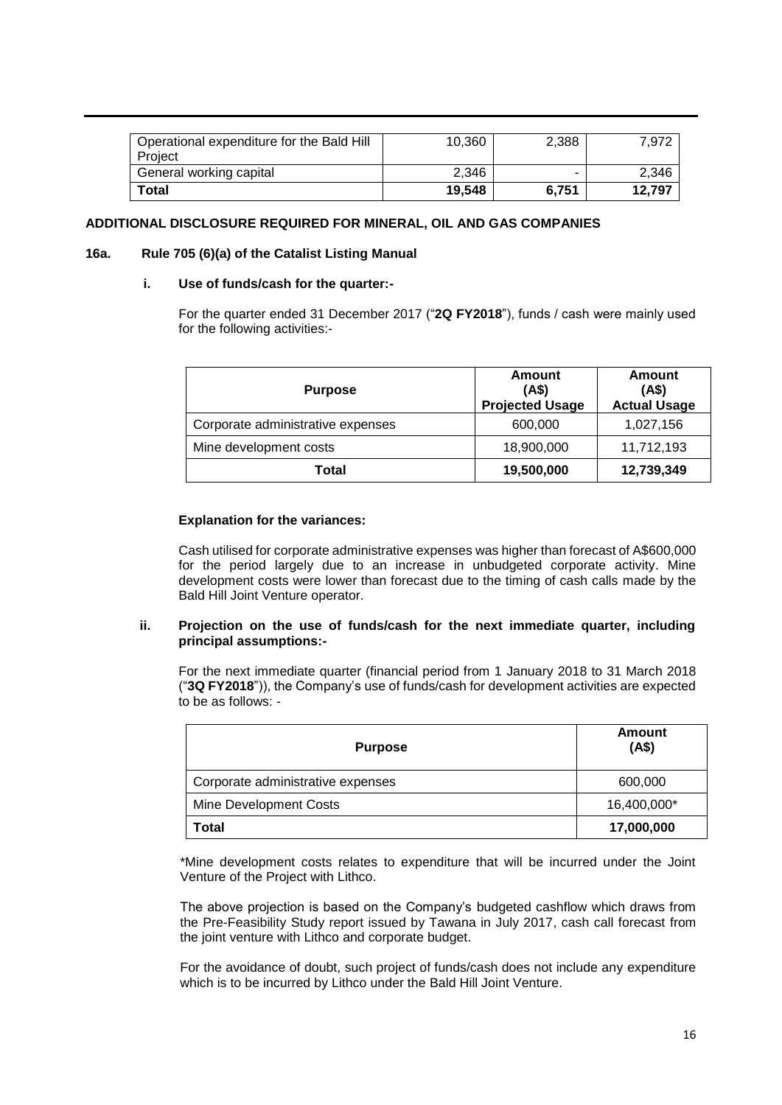| Operational expenditure for the Bald Hill<br>Project | 10,360 | 2,388 | 7.972  |
|------------------------------------------------------|--------|-------|--------|
| General working capital                              | 2.346  | -     | 2.346  |
| Total                                                | 19.548 | 6.751 | 12.797 |

### **ADDITIONAL DISCLOSURE REQUIRED FOR MINERAL, OIL AND GAS COMPANIES**

### **16a. Rule 705 (6)(a) of the Catalist Listing Manual**

### **i. Use of funds/cash for the quarter:-**

For the quarter ended 31 December 2017 ("**2Q FY2018**"), funds / cash were mainly used for the following activities:-

| <b>Purpose</b>                    | Amount<br>(AS)<br><b>Projected Usage</b> | Amount<br>(AS)<br><b>Actual Usage</b> |
|-----------------------------------|------------------------------------------|---------------------------------------|
| Corporate administrative expenses | 600,000                                  | 1,027,156                             |
| Mine development costs            | 18,900,000                               | 11,712,193                            |
| Total                             | 19,500,000                               | 12,739,349                            |

### **Explanation for the variances:**

Cash utilised for corporate administrative expenses was higher than forecast of A\$600,000 for the period largely due to an increase in unbudgeted corporate activity. Mine development costs were lower than forecast due to the timing of cash calls made by the Bald Hill Joint Venture operator.

### **ii. Projection on the use of funds/cash for the next immediate quarter, including principal assumptions:-**

For the next immediate quarter (financial period from 1 January 2018 to 31 March 2018 ("**3Q FY2018**")), the Company's use of funds/cash for development activities are expected to be as follows: -

| <b>Purpose</b>                    | Amount<br>(A\$) |
|-----------------------------------|-----------------|
| Corporate administrative expenses | 600,000         |
| Mine Development Costs            | 16,400,000*     |
| Total                             | 17,000,000      |

\*Mine development costs relates to expenditure that will be incurred under the Joint Venture of the Project with Lithco.

The above projection is based on the Company's budgeted cashflow which draws from the Pre-Feasibility Study report issued by Tawana in July 2017, cash call forecast from the joint venture with Lithco and corporate budget.

For the avoidance of doubt, such project of funds/cash does not include any expenditure which is to be incurred by Lithco under the Bald Hill Joint Venture.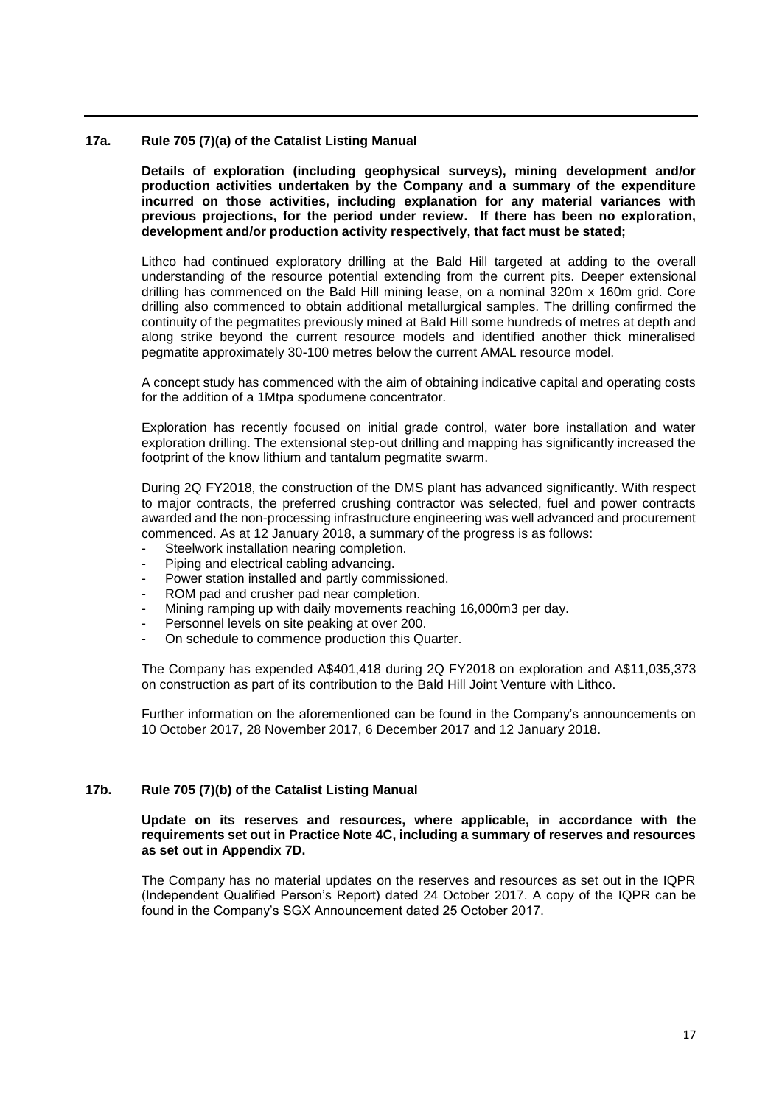### **17a. Rule 705 (7)(a) of the Catalist Listing Manual**

**Details of exploration (including geophysical surveys), mining development and/or production activities undertaken by the Company and a summary of the expenditure incurred on those activities, including explanation for any material variances with previous projections, for the period under review. If there has been no exploration, development and/or production activity respectively, that fact must be stated;**

Lithco had continued exploratory drilling at the Bald Hill targeted at adding to the overall understanding of the resource potential extending from the current pits. Deeper extensional drilling has commenced on the Bald Hill mining lease, on a nominal 320m x 160m grid. Core drilling also commenced to obtain additional metallurgical samples. The drilling confirmed the continuity of the pegmatites previously mined at Bald Hill some hundreds of metres at depth and along strike beyond the current resource models and identified another thick mineralised pegmatite approximately 30-100 metres below the current AMAL resource model.

A concept study has commenced with the aim of obtaining indicative capital and operating costs for the addition of a 1Mtpa spodumene concentrator.

Exploration has recently focused on initial grade control, water bore installation and water exploration drilling. The extensional step-out drilling and mapping has significantly increased the footprint of the know lithium and tantalum pegmatite swarm.

During 2Q FY2018, the construction of the DMS plant has advanced significantly. With respect to major contracts, the preferred crushing contractor was selected, fuel and power contracts awarded and the non-processing infrastructure engineering was well advanced and procurement commenced. As at 12 January 2018, a summary of the progress is as follows:

- Steelwork installation nearing completion.
- Piping and electrical cabling advancing.
- Power station installed and partly commissioned.
- ROM pad and crusher pad near completion.
- Mining ramping up with daily movements reaching 16,000m3 per day.
- Personnel levels on site peaking at over 200.
- On schedule to commence production this Quarter.

The Company has expended A\$401,418 during 2Q FY2018 on exploration and A\$11,035,373 on construction as part of its contribution to the Bald Hill Joint Venture with Lithco.

Further information on the aforementioned can be found in the Company's announcements on 10 October 2017, 28 November 2017, 6 December 2017 and 12 January 2018.

#### **17b. Rule 705 (7)(b) of the Catalist Listing Manual**

### **Update on its reserves and resources, where applicable, in accordance with the requirements set out in Practice Note 4C, including a summary of reserves and resources as set out in Appendix 7D.**

The Company has no material updates on the reserves and resources as set out in the IQPR (Independent Qualified Person's Report) dated 24 October 2017. A copy of the IQPR can be found in the Company's SGX Announcement dated 25 October 2017.